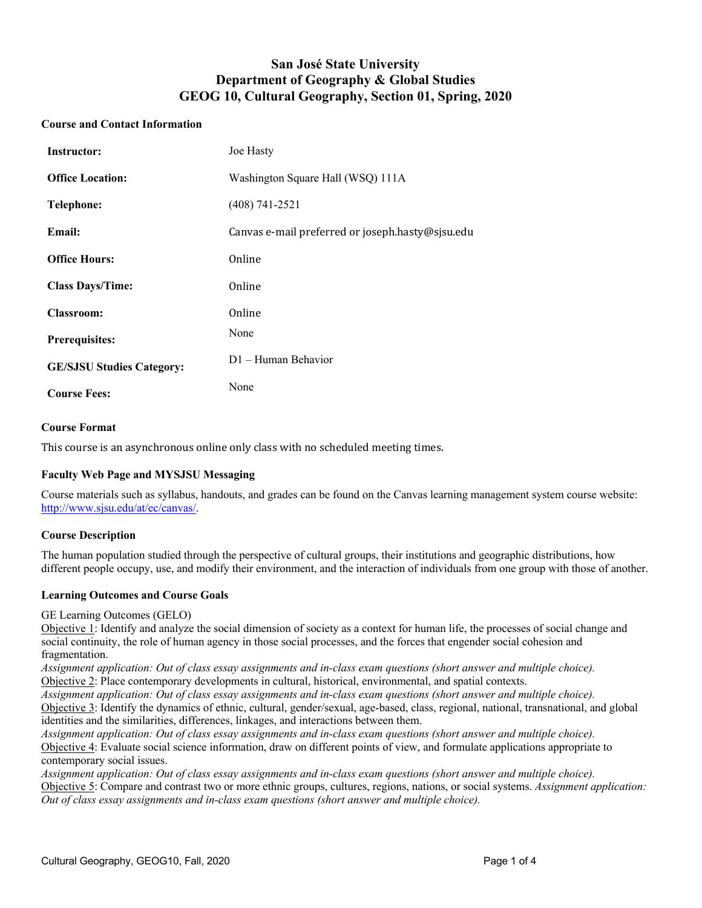# **San José State University Department of Geography & Global Studies GEOG 10, Cultural Geography, Section 01, Spring, 2020**

#### **Course and Contact Information**

| <b>Instructor:</b>               | Joe Hasty                                        |
|----------------------------------|--------------------------------------------------|
| <b>Office Location:</b>          | Washington Square Hall (WSQ) 111A                |
| <b>Telephone:</b>                | $(408) 741 - 2521$                               |
| Email:                           | Canvas e-mail preferred or joseph.hasty@sjsu.edu |
| <b>Office Hours:</b>             | Online                                           |
| <b>Class Days/Time:</b>          | Online                                           |
| <b>Classroom:</b>                | Online                                           |
| <b>Prerequisites:</b>            | None                                             |
| <b>GE/SJSU Studies Category:</b> | D1 – Human Behavior                              |
| <b>Course Fees:</b>              | None                                             |

### **Course Format**

This course is an asynchronous online only class with no scheduled meeting times.

### **Faculty Web Page and MYSJSU Messaging**

Course materials such as syllabus, handouts, and grades can be found on the Canvas learning management system course website: http://www.sjsu.edu/at/ec/canvas/.

### **Course Description**

The human population studied through the perspective of cultural groups, their institutions and geographic distributions, how different people occupy, use, and modify their environment, and the interaction of individuals from one group with those of another.

### **Learning Outcomes and Course Goals**

GE Learning Outcomes (GELO)

Objective 1: Identify and analyze the social dimension of society as a context for human life, the processes of social change and social continuity, the role of human agency in those social processes, and the forces that engender social cohesion and fragmentation.

*Assignment application: Out of class essay assignments and in-class exam questions (short answer and multiple choice).* Objective 2: Place contemporary developments in cultural, historical, environmental, and spatial contexts.

*Assignment application: Out of class essay assignments and in-class exam questions (short answer and multiple choice).* Objective 3: Identify the dynamics of ethnic, cultural, gender/sexual, age-based, class, regional, national, transnational, and global identities and the similarities, differences, linkages, and interactions between them.

*Assignment application: Out of class essay assignments and in-class exam questions (short answer and multiple choice).* Objective 4: Evaluate social science information, draw on different points of view, and formulate applications appropriate to contemporary social issues.

*Assignment application: Out of class essay assignments and in-class exam questions (short answer and multiple choice).* Objective 5: Compare and contrast two or more ethnic groups, cultures, regions, nations, or social systems. *Assignment application: Out of class essay assignments and in-class exam questions (short answer and multiple choice).*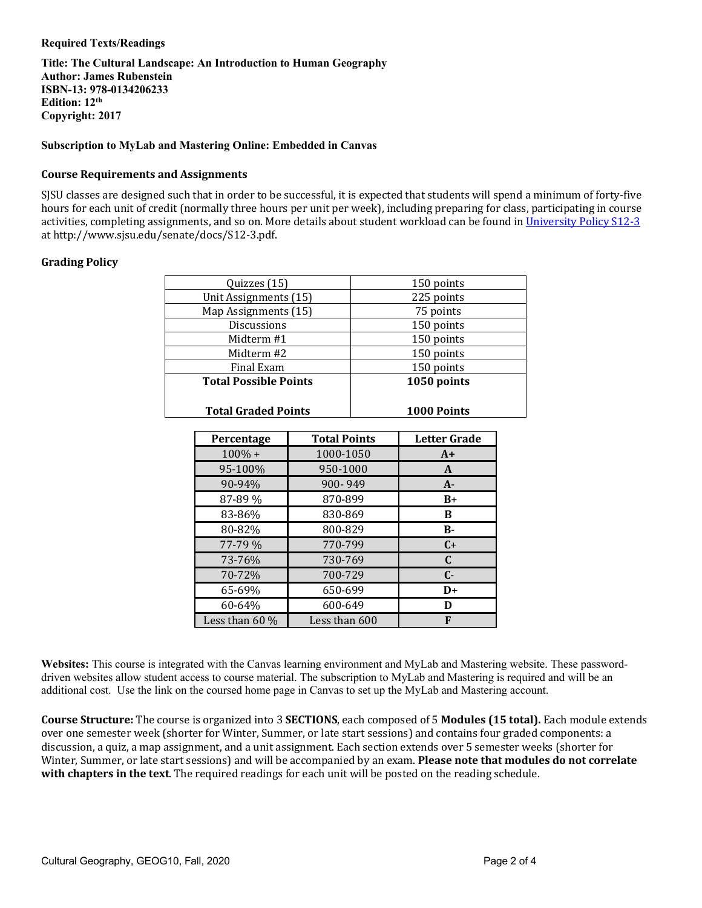#### **Required Texts/Readings**

**Title: The Cultural Landscape: An Introduction to Human Geography Author: James Rubenstein ISBN-13: 978-0134206233 Edition: 12th Copyright: 2017**

### **Subscription to MyLab and Mastering Online: Embedded in Canvas**

#### **Course Requirements and Assignments**

SJSU classes are designed such that in order to be successful, it is expected that students will spend a minimum of forty-five hours for each unit of credit (normally three hours per unit per week), including preparing for class, participating in course activities, completing assignments, and so on. More details about student workload can be found in *University Policy S12-3* at http://www.sjsu.edu/senate/docs/S12-3.pdf.

#### **Grading Policy**

|                              | Quizzes (15)               |                     |                    | 150 points          |  |  |
|------------------------------|----------------------------|---------------------|--------------------|---------------------|--|--|
|                              | Unit Assignments (15)      |                     |                    | 225 points          |  |  |
| Map Assignments (15)         |                            |                     |                    | 75 points           |  |  |
| <b>Discussions</b>           |                            |                     | 150 points         |                     |  |  |
| Midterm #1                   |                            | 150 points          |                    |                     |  |  |
| Midterm #2                   |                            | 150 points          |                    |                     |  |  |
| Final Exam                   |                            | 150 points          |                    |                     |  |  |
| <b>Total Possible Points</b> |                            | 1050 points         |                    |                     |  |  |
|                              |                            |                     |                    |                     |  |  |
|                              | <b>Total Graded Points</b> |                     | <b>1000 Points</b> |                     |  |  |
|                              |                            |                     |                    |                     |  |  |
|                              | Percentage                 | <b>Total Points</b> |                    | <b>Letter Grade</b> |  |  |
|                              | $100\% +$                  | 1000-1050           |                    | $A+$                |  |  |
|                              | 95-100%                    | 950-1000            |                    | A                   |  |  |
|                              | 90-94%                     | 900-949             |                    | $A -$               |  |  |
|                              | 87-89 %                    | 870-899             |                    | $B+$                |  |  |
|                              | 83-86%                     | 830-869             |                    | <sub>B</sub>        |  |  |
|                              | 80-82%                     | 800-829             |                    | $B -$               |  |  |
|                              | 77-79 %                    | 770-799             |                    | $C+$                |  |  |
|                              | 73-76%                     | 730-769             |                    | $\mathbf C$         |  |  |
|                              | 70-72%                     | 700-729             |                    | $C -$               |  |  |
|                              | 65-69%                     | 650-699             |                    | $D+$                |  |  |
|                              | 60-64%                     | 600-649             |                    | D                   |  |  |
|                              | Less than $60\%$           | Less than 600       |                    | F                   |  |  |

**Websites:** This course is integrated with the Canvas learning environment and MyLab and Mastering website. These passworddriven websites allow student access to course material. The subscription to MyLab and Mastering is required and will be an additional cost. Use the link on the coursed home page in Canvas to set up the MyLab and Mastering account.

**Course Structure:** The course is organized into 3 **SECTIONS**, each composed of 5 **Modules (15 total).** Each module extends over one semester week (shorter for Winter, Summer, or late start sessions) and contains four graded components: a discussion, a quiz, a map assignment, and a unit assignment. Each section extends over 5 semester weeks (shorter for Winter, Summer, or late start sessions) and will be accompanied by an exam. Please note that modules do not correlate **with chapters in the text**. The required readings for each unit will be posted on the reading schedule.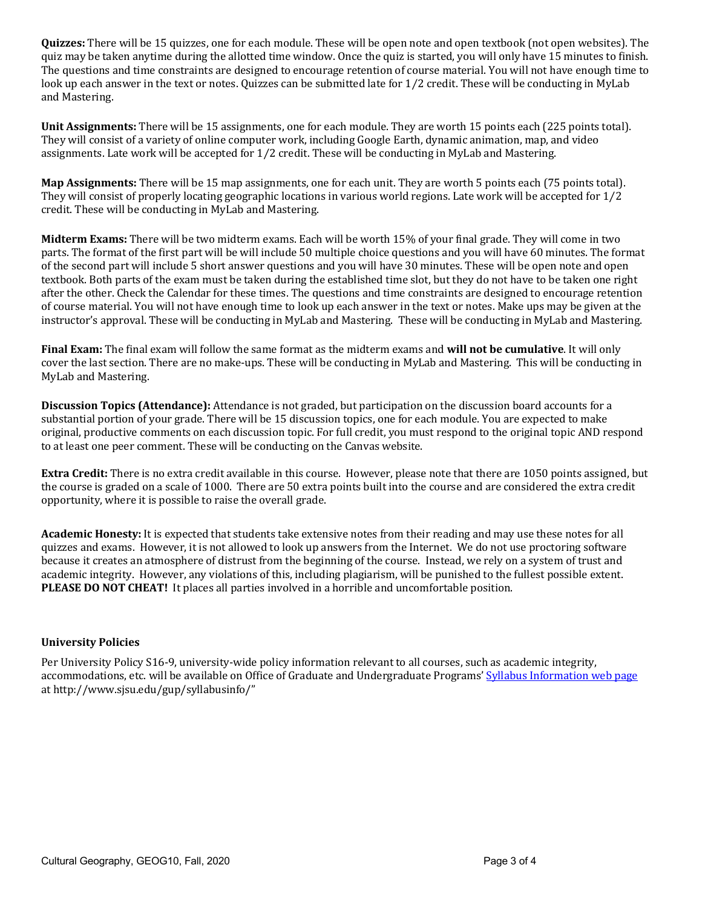**Quizzes:** There will be 15 quizzes, one for each module. These will be open note and open textbook (not open websites). The quiz may be taken anytime during the allotted time window. Once the quiz is started, you will only have 15 minutes to finish. The questions and time constraints are designed to encourage retention of course material. You will not have enough time to look up each answer in the text or notes. Ouizzes can be submitted late for  $1/2$  credit. These will be conducting in MyLab and Mastering.

**Unit Assignments:** There will be 15 assignments, one for each module. They are worth 15 points each (225 points total). They will consist of a variety of online computer work, including Google Earth, dynamic animation, map, and video assignments. Late work will be accepted for  $1/2$  credit. These will be conducting in MyLab and Mastering.

**Map Assignments:** There will be 15 map assignments, one for each unit. They are worth 5 points each (75 points total). They will consist of properly locating geographic locations in various world regions. Late work will be accepted for  $1/2$ credit. These will be conducting in MyLab and Mastering.

**Midterm Exams:** There will be two midterm exams. Each will be worth 15% of your final grade. They will come in two parts. The format of the first part will be will include 50 multiple choice questions and you will have 60 minutes. The format of the second part will include 5 short answer questions and you will have 30 minutes. These will be open note and open textbook. Both parts of the exam must be taken during the established time slot, but they do not have to be taken one right after the other. Check the Calendar for these times. The questions and time constraints are designed to encourage retention of course material. You will not have enough time to look up each answer in the text or notes. Make ups may be given at the instructor's approval. These will be conducting in MyLab and Mastering. These will be conducting in MyLab and Mastering.

**Final Exam:** The final exam will follow the same format as the midterm exams and **will not be cumulative**. It will only cover the last section. There are no make-ups. These will be conducting in MyLab and Mastering. This will be conducting in MyLab and Mastering.

**Discussion Topics (Attendance):** Attendance is not graded, but participation on the discussion board accounts for a substantial portion of your grade. There will be 15 discussion topics, one for each module. You are expected to make original, productive comments on each discussion topic. For full credit, you must respond to the original topic AND respond to at least one peer comment. These will be conducting on the Canvas website.

**Extra Credit:** There is no extra credit available in this course. However, please note that there are 1050 points assigned, but the course is graded on a scale of 1000. There are 50 extra points built into the course and are considered the extra credit opportunity, where it is possible to raise the overall grade.

**Academic Honesty:** It is expected that students take extensive notes from their reading and may use these notes for all quizzes and exams. However, it is not allowed to look up answers from the Internet. We do not use proctoring software because it creates an atmosphere of distrust from the beginning of the course. Instead, we rely on a system of trust and academic integrity. However, any violations of this, including plagiarism, will be punished to the fullest possible extent. **PLEASE DO NOT CHEAT!** It places all parties involved in a horrible and uncomfortable position.

### **University Policies**

Per University Policy S16-9, university-wide policy information relevant to all courses, such as academic integrity, accommodations, etc. will be available on Office of Graduate and Undergraduate Programs' Syllabus Information web page at http://www.sjsu.edu/gup/syllabusinfo/"